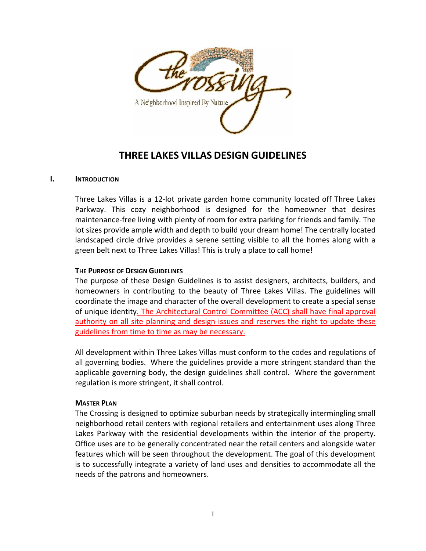

# **THREE LAKES VILLAS DESIGN GUIDELINES**

#### **I. INTRODUCTION**

Three Lakes Villas is a 12‐lot private garden home community located off Three Lakes Parkway. This cozy neighborhood is designed for the homeowner that desires maintenance‐free living with plenty of room for extra parking for friends and family. The lot sizes provide ample width and depth to build your dream home! The centrally located landscaped circle drive provides a serene setting visible to all the homes along with a green belt next to Three Lakes Villas! This is truly a place to call home!

#### **THE PURPOSE OF DESIGN GUIDELINES**

The purpose of these Design Guidelines is to assist designers, architects, builders, and homeowners in contributing to the beauty of Three Lakes Villas. The guidelines will coordinate the image and character of the overall development to create a special sense of unique identity. The Architectural Control Committee (ACC) shall have final approval authority on all site planning and design issues and reserves the right to update these guidelines from time to time as may be necessary.

All development within Three Lakes Villas must conform to the codes and regulations of all governing bodies. Where the guidelines provide a more stringent standard than the applicable governing body, the design guidelines shall control. Where the government regulation is more stringent, it shall control.

#### **MASTER PLAN**

The Crossing is designed to optimize suburban needs by strategically intermingling small neighborhood retail centers with regional retailers and entertainment uses along Three Lakes Parkway with the residential developments within the interior of the property. Office uses are to be generally concentrated near the retail centers and alongside water features which will be seen throughout the development. The goal of this development is to successfully integrate a variety of land uses and densities to accommodate all the needs of the patrons and homeowners.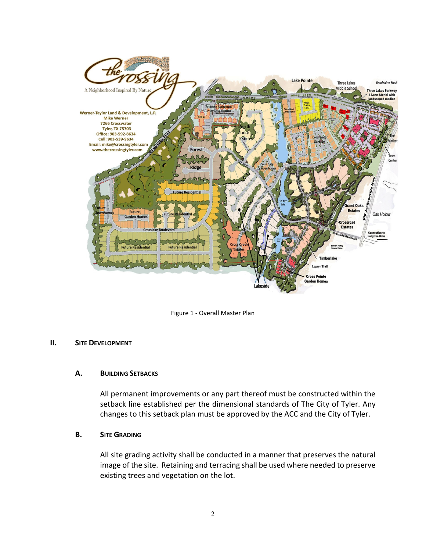

Figure 1 ‐ Overall Master Plan

#### **II. SITE DEVELOPMENT**

#### **A. BUILDING SETBACKS**

All permanent improvements or any part thereof must be constructed within the setback line established per the dimensional standards of The City of Tyler. Any changes to this setback plan must be approved by the ACC and the City of Tyler.

#### **B. SITE GRADING**

All site grading activity shall be conducted in a manner that preserves the natural image of the site. Retaining and terracing shall be used where needed to preserve existing trees and vegetation on the lot.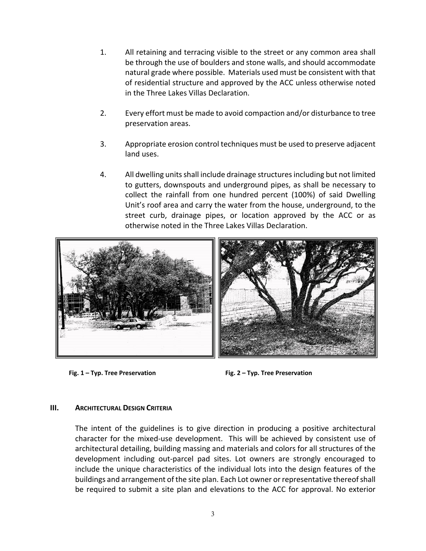- 1. All retaining and terracing visible to the street or any common area shall be through the use of boulders and stone walls, and should accommodate natural grade where possible. Materials used must be consistent with that of residential structure and approved by the ACC unless otherwise noted in the Three Lakes Villas Declaration.
- 2. Every effort must be made to avoid compaction and/or disturbance to tree preservation areas.
- 3. Appropriate erosion control techniques must be used to preserve adjacent land uses.
- 4. All dwelling unitsshall include drainage structuresincluding but not limited to gutters, downspouts and underground pipes, as shall be necessary to collect the rainfall from one hundred percent (100%) of said Dwelling Unit's roof area and carry the water from the house, underground, to the street curb, drainage pipes, or location approved by the ACC or as otherwise noted in the Three Lakes Villas Declaration.



**Fig. 1 – Typ. Tree Preservation Fig. 2 – Typ. Tree Preservation**

#### **III. ARCHITECTURAL DESIGN CRITERIA**

The intent of the guidelines is to give direction in producing a positive architectural character for the mixed-use development. This will be achieved by consistent use of architectural detailing, building massing and materials and colors for all structures of the development including out‐parcel pad sites. Lot owners are strongly encouraged to include the unique characteristics of the individual lots into the design features of the buildings and arrangement of the site plan. Each Lot owner or representative thereofshall be required to submit a site plan and elevations to the ACC for approval. No exterior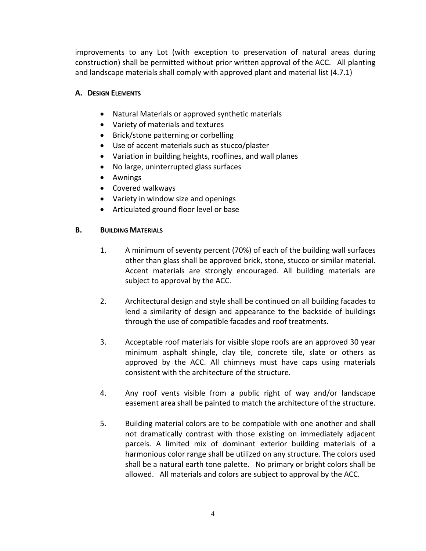improvements to any Lot (with exception to preservation of natural areas during construction) shall be permitted without prior written approval of the ACC. All planting and landscape materials shall comply with approved plant and material list (4.7.1)

## **A. DESIGN ELEMENTS**

- Natural Materials or approved synthetic materials
- Variety of materials and textures
- Brick/stone patterning or corbelling
- Use of accent materials such as stucco/plaster
- Variation in building heights, rooflines, and wall planes
- No large, uninterrupted glass surfaces
- Awnings
- Covered walkways
- Variety in window size and openings
- Articulated ground floor level or base

## **B. BUILDING MATERIALS**

- 1. A minimum of seventy percent (70%) of each of the building wall surfaces other than glass shall be approved brick, stone, stucco or similar material. Accent materials are strongly encouraged. All building materials are subject to approval by the ACC.
- 2. Architectural design and style shall be continued on all building facades to lend a similarity of design and appearance to the backside of buildings through the use of compatible facades and roof treatments.
- 3. Acceptable roof materials for visible slope roofs are an approved 30 year minimum asphalt shingle, clay tile, concrete tile, slate or others as approved by the ACC. All chimneys must have caps using materials consistent with the architecture of the structure.
- 4. Any roof vents visible from a public right of way and/or landscape easement area shall be painted to match the architecture of the structure.
- 5. Building material colors are to be compatible with one another and shall not dramatically contrast with those existing on immediately adjacent parcels. A limited mix of dominant exterior building materials of a harmonious color range shall be utilized on any structure. The colors used shall be a natural earth tone palette. No primary or bright colors shall be allowed. All materials and colors are subject to approval by the ACC.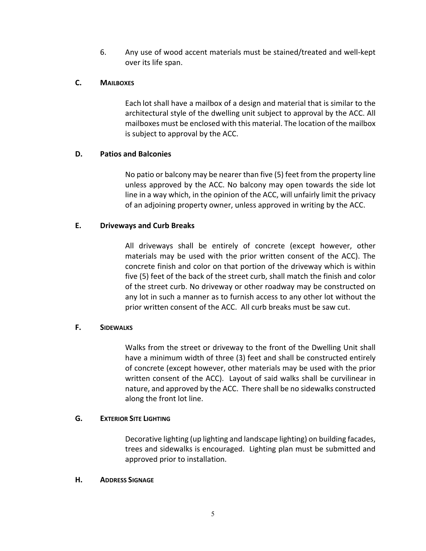6. Any use of wood accent materials must be stained/treated and well‐kept over its life span.

## **C. MAILBOXES**

Each lot shall have a mailbox of a design and material that is similar to the architectural style of the dwelling unit subject to approval by the ACC. All mailboxes must be enclosed with this material. The location of the mailbox is subject to approval by the ACC.

## **D. Patios and Balconies**

No patio or balcony may be nearer than five (5) feet from the property line unless approved by the ACC. No balcony may open towards the side lot line in a way which, in the opinion of the ACC, will unfairly limit the privacy of an adjoining property owner, unless approved in writing by the ACC.

# **E. Driveways and Curb Breaks**

All driveways shall be entirely of concrete (except however, other materials may be used with the prior written consent of the ACC). The concrete finish and color on that portion of the driveway which is within five (5) feet of the back of the street curb, shall match the finish and color of the street curb. No driveway or other roadway may be constructed on any lot in such a manner as to furnish access to any other lot without the prior written consent of the ACC. All curb breaks must be saw cut.

#### **F. SIDEWALKS**

Walks from the street or driveway to the front of the Dwelling Unit shall have a minimum width of three (3) feet and shall be constructed entirely of concrete (except however, other materials may be used with the prior written consent of the ACC). Layout of said walks shall be curvilinear in nature, and approved by the ACC. There shall be no sidewalks constructed along the front lot line.

#### **G. EXTERIOR SITE LIGHTING**

 Decorative lighting (up lighting and landscape lighting) on building facades, trees and sidewalks is encouraged. Lighting plan must be submitted and approved prior to installation.

#### **H. ADDRESS SIGNAGE**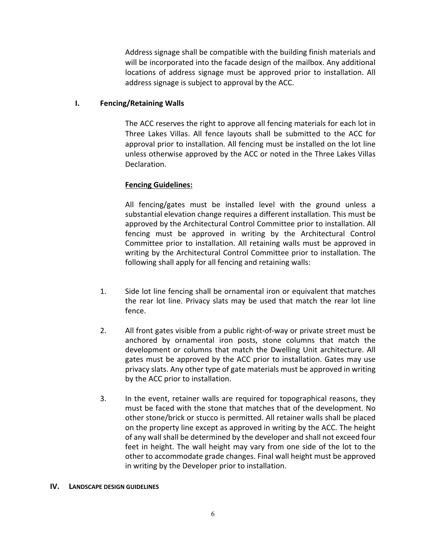Address signage shall be compatible with the building finish materials and will be incorporated into the facade design of the mailbox. Any additional locations of address signage must be approved prior to installation. All address signage is subject to approval by the ACC.

## **I. Fencing/Retaining Walls**

The ACC reserves the right to approve all fencing materials for each lot in Three Lakes Villas. All fence layouts shall be submitted to the ACC for approval prior to installation. All fencing must be installed on the lot line unless otherwise approved by the ACC or noted in the Three Lakes Villas Declaration.

## **Fencing Guidelines:**

All fencing/gates must be installed level with the ground unless a substantial elevation change requires a different installation. This must be approved by the Architectural Control Committee prior to installation. All fencing must be approved in writing by the Architectural Control Committee prior to installation. All retaining walls must be approved in writing by the Architectural Control Committee prior to installation. The following shall apply for all fencing and retaining walls:

- 1. Side lot line fencing shall be ornamental iron or equivalent that matches the rear lot line. Privacy slats may be used that match the rear lot line fence.
- 2. All front gates visible from a public right-of-way or private street must be anchored by ornamental iron posts, stone columns that match the development or columns that match the Dwelling Unit architecture. All gates must be approved by the ACC prior to installation. Gates may use privacy slats. Any other type of gate materials must be approved in writing by the ACC prior to installation.
- 3. In the event, retainer walls are required for topographical reasons, they must be faced with the stone that matches that of the development. No other stone/brick or stucco is permitted. All retainer walls shall be placed on the property line except as approved in writing by the ACC. The height of any wall shall be determined by the developer and shall not exceed four feet in height. The wall height may vary from one side of the lot to the other to accommodate grade changes. Final wall height must be approved in writing by the Developer prior to installation.

#### **IV. LANDSCAPE DESIGN GUIDELINES**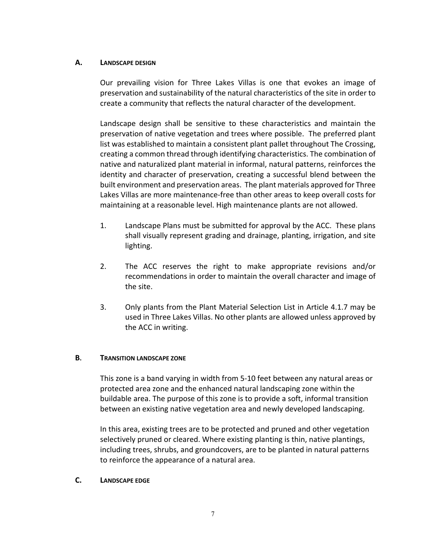#### **A. LANDSCAPE DESIGN**

 Our prevailing vision for Three Lakes Villas is one that evokes an image of preservation and sustainability of the natural characteristics of the site in order to create a community that reflects the natural character of the development.

Landscape design shall be sensitive to these characteristics and maintain the preservation of native vegetation and trees where possible. The preferred plant list was established to maintain a consistent plant pallet throughout The Crossing, creating a common thread through identifying characteristics. The combination of native and naturalized plant material in informal, natural patterns, reinforces the identity and character of preservation, creating a successful blend between the built environment and preservation areas. The plant materials approved for Three Lakes Villas are more maintenance‐free than other areas to keep overall costs for maintaining at a reasonable level. High maintenance plants are not allowed.

- 1. Landscape Plans must be submitted for approval by the ACC. These plans shall visually represent grading and drainage, planting, irrigation, and site lighting.
- 2. The ACC reserves the right to make appropriate revisions and/or recommendations in order to maintain the overall character and image of the site.
- 3. Only plants from the Plant Material Selection List in Article 4.1.7 may be used in Three Lakes Villas. No other plants are allowed unless approved by the ACC in writing.

#### **B. TRANSITION LANDSCAPE ZONE**

This zone is a band varying in width from 5‐10 feet between any natural areas or protected area zone and the enhanced natural landscaping zone within the buildable area. The purpose of this zone is to provide a soft, informal transition between an existing native vegetation area and newly developed landscaping.

In this area, existing trees are to be protected and pruned and other vegetation selectively pruned or cleared. Where existing planting is thin, native plantings, including trees, shrubs, and groundcovers, are to be planted in natural patterns to reinforce the appearance of a natural area.

#### **C. LANDSCAPE EDGE**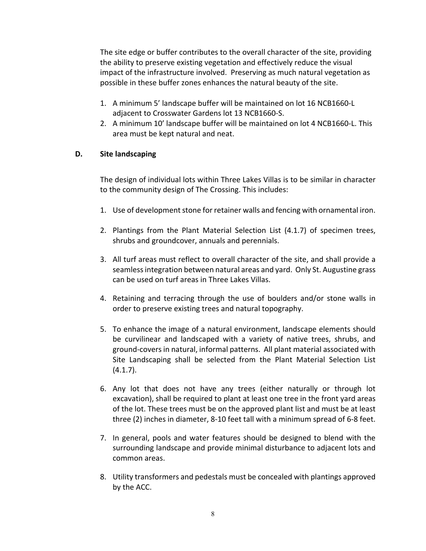The site edge or buffer contributes to the overall character of the site, providing the ability to preserve existing vegetation and effectively reduce the visual impact of the infrastructure involved. Preserving as much natural vegetation as possible in these buffer zones enhances the natural beauty of the site.

- 1. A minimum 5' landscape buffer will be maintained on lot 16 NCB1660‐L adjacent to Crosswater Gardens lot 13 NCB1660‐S.
- 2. A minimum 10' landscape buffer will be maintained on lot 4 NCB1660‐L. This area must be kept natural and neat.

## **D. Site landscaping**

The design of individual lots within Three Lakes Villas is to be similar in character to the community design of The Crossing. This includes:

- 1. Use of development stone for retainer walls and fencing with ornamental iron.
- 2. Plantings from the Plant Material Selection List (4.1.7) of specimen trees, shrubs and groundcover, annuals and perennials.
- 3. All turf areas must reflect to overall character of the site, and shall provide a seamlessintegration between natural areas and yard. Only St. Augustine grass can be used on turf areas in Three Lakes Villas.
- 4. Retaining and terracing through the use of boulders and/or stone walls in order to preserve existing trees and natural topography.
- 5. To enhance the image of a natural environment, landscape elements should be curvilinear and landscaped with a variety of native trees, shrubs, and ground‐coversin natural, informal patterns. All plant material associated with Site Landscaping shall be selected from the Plant Material Selection List  $(4.1.7)$ .
- 6. Any lot that does not have any trees (either naturally or through lot excavation), shall be required to plant at least one tree in the front yard areas of the lot. These trees must be on the approved plant list and must be at least three (2) inches in diameter, 8‐10 feet tall with a minimum spread of 6‐8 feet.
- 7. In general, pools and water features should be designed to blend with the surrounding landscape and provide minimal disturbance to adjacent lots and common areas.
- 8. Utility transformers and pedestals must be concealed with plantings approved by the ACC.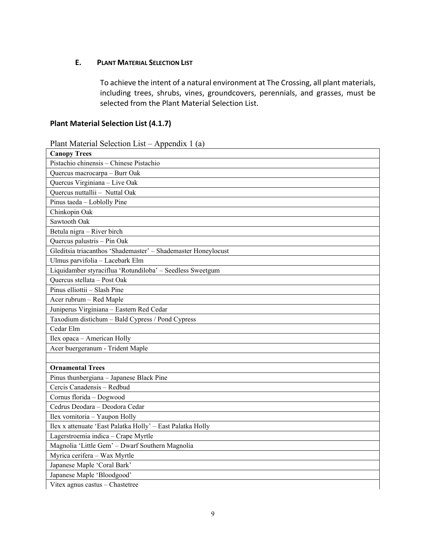## **E. PLANT MATERIAL SELECTION LIST**

To achieve the intent of a natural environment at The Crossing, all plant materials, including trees, shrubs, vines, groundcovers, perennials, and grasses, must be selected from the Plant Material Selection List.

# **Plant Material Selection List (4.1.7)**

| Plant Material Selection List – Appendix 1 (a) |  |  |  |  |  |
|------------------------------------------------|--|--|--|--|--|
|------------------------------------------------|--|--|--|--|--|

| <b>Canopy Trees</b>                                           |
|---------------------------------------------------------------|
| Pistachio chinensis - Chinese Pistachio                       |
| Quercus macrocarpa - Burr Oak                                 |
| Quercus Virginiana - Live Oak                                 |
| Quercus nuttallii - Nuttal Oak                                |
| Pinus taeda - Loblolly Pine                                   |
| Chinkopin Oak                                                 |
| Sawtooth Oak                                                  |
| Betula nigra - River birch                                    |
| Quercus palustris - Pin Oak                                   |
| Gleditsia triacanthos 'Shademaster' - Shademaster Honeylocust |
| Ulmus parvifolia - Lacebark Elm                               |
| Liquidamber styraciflua 'Rotundiloba' - Seedless Sweetgum     |
| Ouercus stellata - Post Oak                                   |
| Pinus elliottii - Slash Pine                                  |
| Acer rubrum - Red Maple                                       |
| Juniperus Virginiana - Eastern Red Cedar                      |
| Taxodium distichum - Bald Cypress / Pond Cypress              |
| Cedar Elm                                                     |
| Ilex opaca - American Holly                                   |
| Acer buergeranum - Trident Maple                              |
|                                                               |
| <b>Ornamental Trees</b>                                       |
| Pinus thunbergiana - Japanese Black Pine                      |
| Cercis Canadensis - Redbud                                    |
| Cornus florida - Dogwood                                      |
| Cedrus Deodara - Deodora Cedar                                |
| Ilex vomitoria - Yaupon Holly                                 |
| Ilex x attenuate 'East Palatka Holly' - East Palatka Holly    |
| Lagerstroemia indica - Crape Myrtle                           |
| Magnolia 'Little Gem' - Dwarf Southern Magnolia               |
| Myrica cerifera - Wax Myrtle                                  |
| Japanese Maple 'Coral Bark'                                   |
| Japanese Maple 'Bloodgood'                                    |
| Vitex agnus castus - Chastetree                               |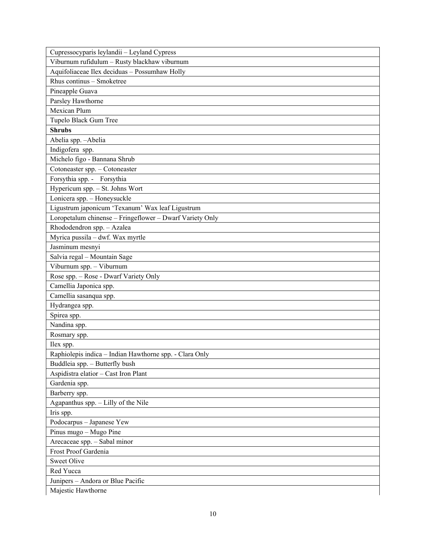| Cupressocyparis leylandii - Leyland Cypress              |
|----------------------------------------------------------|
| Viburnum rufidulum - Rusty blackhaw viburnum             |
| Aquifoliaceae Ilex deciduas - Possumhaw Holly            |
| Rhus continus - Smoketree                                |
| Pineapple Guava                                          |
| Parsley Hawthorne                                        |
| Mexican Plum                                             |
| Tupelo Black Gum Tree                                    |
| <b>Shrubs</b>                                            |
| Abelia spp. - Abelia                                     |
| Indigofera spp.                                          |
| Michelo figo - Bannana Shrub                             |
| Cotoneaster spp. - Cotoneaster                           |
| Forsythia spp. - Forsythia                               |
| Hypericum spp. - St. Johns Wort                          |
| Lonicera spp. - Honeysuckle                              |
| Ligustrum japonicum 'Texanum' Wax leaf Ligustrum         |
| Loropetalum chinense - Fringeflower - Dwarf Variety Only |
| Rhododendron spp. - Azalea                               |
| Myrica pussila - dwf. Wax myrtle                         |
| Jasminum mesnyi                                          |
| Salvia regal - Mountain Sage                             |
| Viburnum spp. - Viburnum                                 |
| Rose spp. - Rose - Dwarf Variety Only                    |
| Camellia Japonica spp.                                   |
| Camellia sasanqua spp.                                   |
| Hydrangea spp.                                           |
| Spirea spp.                                              |
| Nandina spp.                                             |
| Rosmary spp.                                             |
| Ilex spp.                                                |
| Raphiolepis indica - Indian Hawthorne spp. - Clara Only  |
| Buddleia spp. - Butterfly bush                           |
| Aspidistra elatior - Cast Iron Plant                     |
| Gardenia spp.                                            |
| Barberry spp.                                            |
| Agapanthus spp. - Lilly of the Nile                      |
| Iris spp.                                                |
| Podocarpus - Japanese Yew                                |
| Pinus mugo - Mugo Pine                                   |
| Arecaceae spp. - Sabal minor                             |
| Frost Proof Gardenia                                     |
| <b>Sweet Olive</b>                                       |
| Red Yucca                                                |
| Junipers - Andora or Blue Pacific                        |
| Majestic Hawthorne                                       |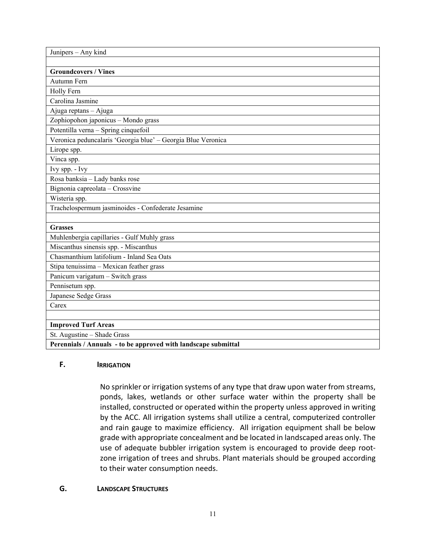| Junipers - Any kind                                            |
|----------------------------------------------------------------|
|                                                                |
| <b>Groundcovers / Vines</b>                                    |
| Autumn Fern                                                    |
| Holly Fern                                                     |
| Carolina Jasmine                                               |
| Ajuga reptans - Ajuga                                          |
| Zophiopohon japonicus - Mondo grass                            |
| Potentilla verna - Spring cinquefoil                           |
| Veronica peduncalaris 'Georgia blue' - Georgia Blue Veronica   |
| Lirope spp.                                                    |
| Vinca spp.                                                     |
| Ivy spp. - Ivy                                                 |
| Rosa banksia - Lady banks rose                                 |
| Bignonia capreolata - Crossvine                                |
| Wisteria spp.                                                  |
| Trachelospermum jasminoides - Confederate Jesamine             |
|                                                                |
| <b>Grasses</b>                                                 |
| Muhlenbergia capillaries - Gulf Muhly grass                    |
| Miscanthus sinensis spp. - Miscanthus                          |
| Chasmanthium latifolium - Inland Sea Oats                      |
| Stipa tenuissima - Mexican feather grass                       |
| Panicum varigatum - Switch grass                               |
| Pennisetum spp.                                                |
| Japanese Sedge Grass                                           |
| Carex                                                          |
|                                                                |
| <b>Improved Turf Areas</b>                                     |
| St. Augustine - Shade Grass                                    |
| Perennials / Annuals - to be approved with landscape submittal |

## **F. IRRIGATION**

No sprinkler or irrigation systems of any type that draw upon water from streams, ponds, lakes, wetlands or other surface water within the property shall be installed, constructed or operated within the property unless approved in writing by the ACC. All irrigation systems shall utilize a central, computerized controller and rain gauge to maximize efficiency. All irrigation equipment shall be below grade with appropriate concealment and be located in landscaped areas only. The use of adequate bubbler irrigation system is encouraged to provide deep root‐ zone irrigation of trees and shrubs. Plant materials should be grouped according to their water consumption needs.

#### **G. LANDSCAPE STRUCTURES**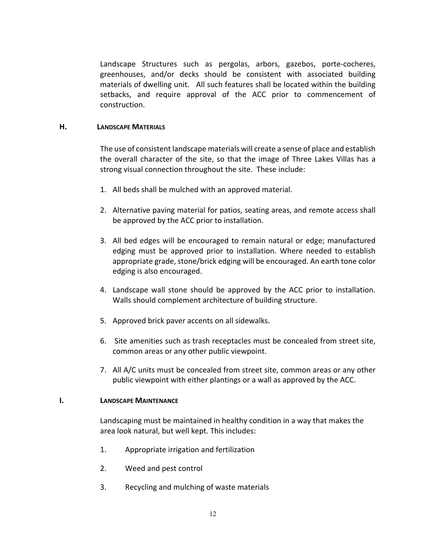Landscape Structures such as pergolas, arbors, gazebos, porte‐cocheres, greenhouses, and/or decks should be consistent with associated building materials of dwelling unit. All such features shall be located within the building setbacks, and require approval of the ACC prior to commencement of construction.

#### **H. LANDSCAPE MATERIALS**

The use of consistent landscape materials will create a sense of place and establish the overall character of the site, so that the image of Three Lakes Villas has a strong visual connection throughout the site. These include:

- 1. All beds shall be mulched with an approved material.
- 2. Alternative paving material for patios, seating areas, and remote access shall be approved by the ACC prior to installation.
- 3. All bed edges will be encouraged to remain natural or edge; manufactured edging must be approved prior to installation. Where needed to establish appropriate grade, stone/brick edging will be encouraged. An earth tone color edging is also encouraged.
- 4. Landscape wall stone should be approved by the ACC prior to installation. Walls should complement architecture of building structure.
- 5. Approved brick paver accents on all sidewalks.
- 6. Site amenities such as trash receptacles must be concealed from street site, common areas or any other public viewpoint.
- 7. All A/C units must be concealed from street site, common areas or any other public viewpoint with either plantings or a wall as approved by the ACC.

#### **I. LANDSCAPE MAINTENANCE**

 Landscaping must be maintained in healthy condition in a way that makes the area look natural, but well kept. This includes:

- 1. Appropriate irrigation and fertilization
- 2. Weed and pest control
- 3. Recycling and mulching of waste materials